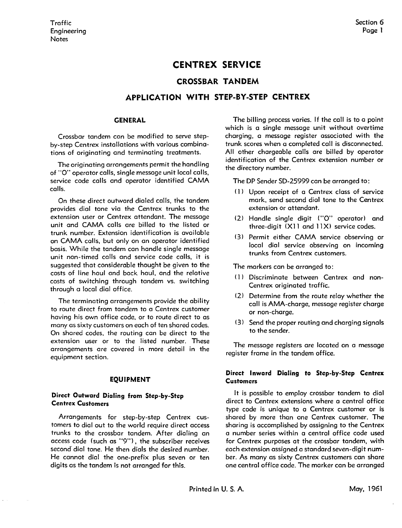# **CENTREX SERVICE**

## **CROSSBAR TANDEM**

## **APPLICATION WITH STEP-BY-STEP CENTREX**

#### **GENERAL**

Crossbar tandem can be modified to serve stepby-step Centrex installations with various combinations of originating and terminating treatments.

The originating arrangements permit the handling of "O" operator calls, single message unit local calls, service code calls and operator identified **CAMA**  calls.

On these direct outward dialed calls, the tandem provides dial tone via the Centrex trunks to the extension user or Centrex attendant. The message unit and **CAMA** calls are billed to the listed or trunk number. Extension identification is available on **CAMA** calls, but only on on operator identified basis. While the tandem can handle single message unit non-timed calls and service code calls, it is suggested that considerable thought be given to the costs of line haul and back haul, and the relative costs of switching through tandem vs. switching through a local dial office.

The terminating arrangements provide the ability to route direct from tandem to a Centrex customer having his own office code, or to route direct to as many as sixty customers on each of ten shared codes. On shared codes, the routing can be direct to the extension user or to the listed number. These arrangements ore covered in more detail in the equipment section.

#### **EQUIPMENT**

### **Direct Outward Dialing from Step-by-Step Centrex Customers**

Arrangements for step-by-step Centrex customers to dial out to the world require direct access trunks to the crossbar tandem. After dialing on access code (such as "9"), the subscriber receives second dial tone. He then dials the desired number. He cannot dial the one-prefix plus seven or ten digits as the tandem is not arranged for this.

The billing process varies. If the call is to a point which is a single message unit without overtime charging, a message register associated with the trunk scores when a completed call is disconnected. All other chargeable calls are billed by operator identification of the Centrex extension number or the directory number.

The DP Sender SD-25999 can be arranged to:

- ( l) Upon receipt of a Centrex class of service mark, send second dial tone to the Centrex extension or attendant.
- (2) Handle single digit ("O" operator) and three-digit (X11 and 11X) service codes.
- (3) Permit either **CAMA** service observing or local dial service observing on incoming trunks from Centrex customers.

The markers can be arranged to:

- (1) Discriminate between Centrex and non-Centrex originated traffic.
- (2) Determine from the route relay whether the call is AMA-charge, message register charge or non-charge.
- (3) Send the proper routing and charging signals to the sender.

The message registers are located on a message register frame in the tandem office.

#### **Direct Inward Dialing to Step-by-Step Centrex Customers**

It is possible to employ crossbar tandem to dial direct to Centrex extensions where a central office type code is unique to a Centrex customer or is shared by more than one Centrex customer. The sharing is accomplished by assigning to the Centrex a number series within a central office code used for Centrex purposes at the crossbar tandem, with each extension assigned a standard seven-digit number. As many as sixty Centrex customers can share one central office code. The marker con be arranged